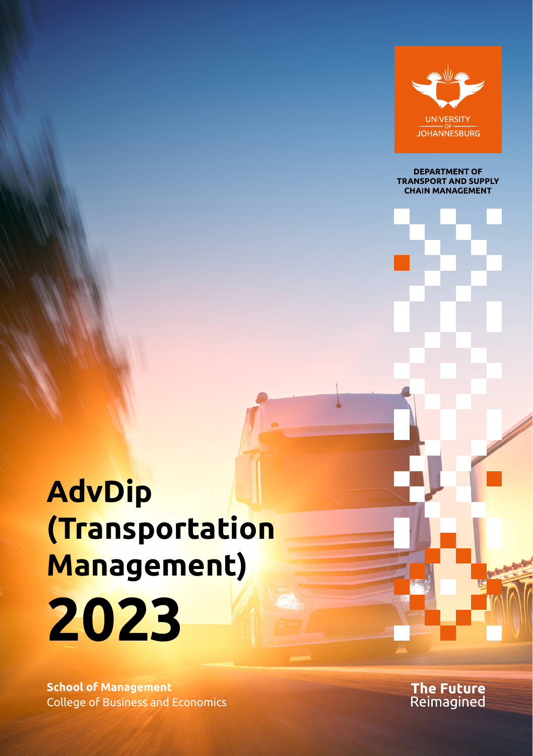

**DEPARTMENT OF TRANSPORT AND SUPPLY CHAIN MANAGEMENT** 

# **AdvDip (Transportation Management) 2023**

**School of Management** College of Business and Economics The Future<br>Reimagined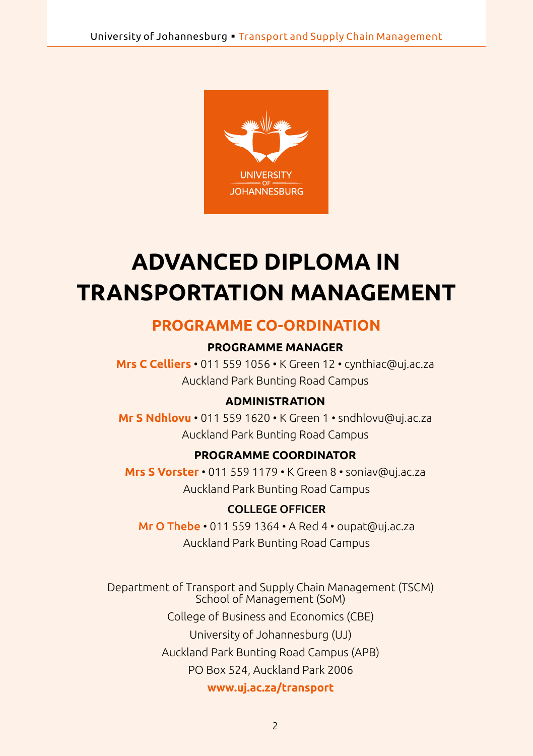

## **ADVANCED DIPLOMA IN TRANSPORTATION MANAGEMENT**

#### **PROGRAMME CO-ORDINATION**

#### **PROGRAMME MANAGER**

**Mrs C Celliers** • 011 559 1056 • K Green 12 • [cynthiac@uj.ac.za](mailto:cynthiac@uj.ac.za) Auckland Park Bunting Road Campus

#### **ADMINISTRATION**

**Mr S Ndhlovu** • 011 559 1620 • K Green 1 • [sndhlovu@uj.ac.za](mailto:sndhlovu@uj.ac.za) Auckland Park Bunting Road Campus

#### **PROGRAMME COORDINATOR**

**Mrs S Vorster** • 011 559 1179 • K Green 8 • [soniav@uj.ac.za](mailto:soniav@uj.ac.za) Auckland Park Bunting Road Campus

#### COLLEGE OFFICER

Mr O Thebe • 011 559 1364 • A Red 4 • oupat@uj.ac.za Auckland Park Bunting Road Campus

Department of Transport and Supply Chain Management (TSCM) School of Management (SoM) College of Business and Economics (CBE) University of Johannesburg (UJ) Auckland Park Bunting Road Campus (APB) PO Box 524, Auckland Park 2006 **<www.uj.ac.za/transport>**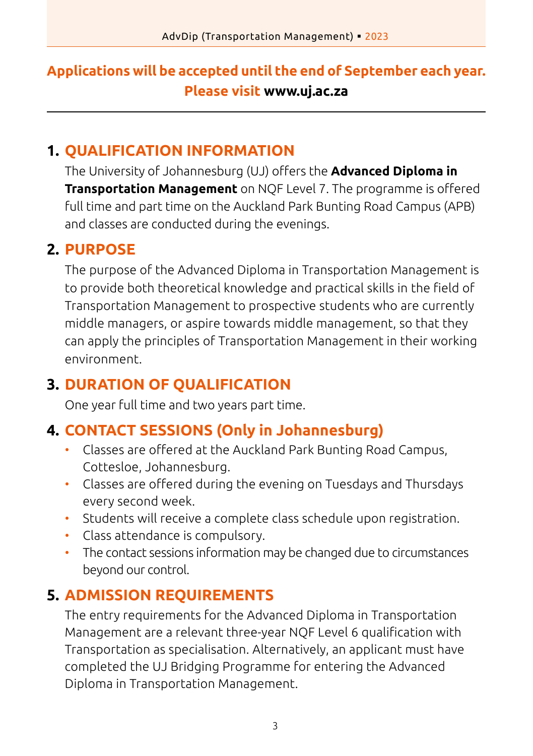## **Applications will be accepted until the end of September each year. Please visit www.uj.ac.za**

## **1. QUALIFICATION INFORMATION**

The University of Johannesburg (UJ) offers the **Advanced Diploma in Transportation Management** on NQF Level 7. The programme is offered full time and part time on the Auckland Park Bunting Road Campus (APB) and classes are conducted during the evenings.

## **2. PURPOSE**

The purpose of the Advanced Diploma in Transportation Management is to provide both theoretical knowledge and practical skills in the field of Transportation Management to prospective students who are currently middle managers, or aspire towards middle management, so that they can apply the principles of Transportation Management in their working environment.

## **3. DURATION OF QUALIFICATION**

One year full time and two years part time.

## **4. CONTACT SESSIONS (Only in Johannesburg)**

- Classes are offered at the Auckland Park Bunting Road Campus, Cottesloe, Johannesburg.
- Classes are offered during the evening on Tuesdays and Thursdays every second week.
- Students will receive a complete class schedule upon registration.
- Class attendance is compulsory.
- The contact sessions information may be changed due to circumstances beyond our control.

## **5. ADMISSION REQUIREMENTS**

The entry requirements for the Advanced Diploma in Transportation Management are a relevant three-year NQF Level 6 qualification with Transportation as specialisation. Alternatively, an applicant must have completed the UJ Bridging Programme for entering the Advanced Diploma in Transportation Management.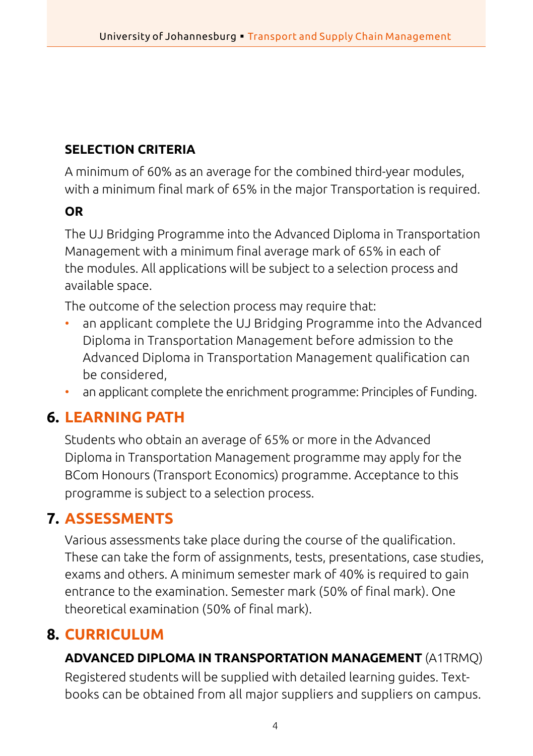## **SELECTION CRITERIA**

A minimum of 60% as an average for the combined third-year modules, with a minimum final mark of 65% in the major Transportation is required.

#### **OR**

The UJ Bridging Programme into the Advanced Diploma in Transportation Management with a minimum final average mark of 65% in each of the modules. All applications will be subject to a selection process and available space.

The outcome of the selection process may require that:

- an applicant complete the UJ Bridging Programme into the Advanced Diploma in Transportation Management before admission to the Advanced Diploma in Transportation Management qualification can be considered,
- an applicant complete the enrichment programme: Principles of Funding.

## **6. LEARNING PATH**

Students who obtain an average of 65% or more in the Advanced Diploma in Transportation Management programme may apply for the BCom Honours (Transport Economics) programme. Acceptance to this programme is subject to a selection process.

## **7. ASSESSMENTS**

Various assessments take place during the course of the qualification. These can take the form of assignments, tests, presentations, case studies, exams and others. A minimum semester mark of 40% is required to gain entrance to the examination. Semester mark (50% of final mark). One theoretical examination (50% of final mark).

## **8. CURRICULUM**

#### **ADVANCED DIPLOMA IN TRANSPORTATION MANAGEMENT** (A1TRMQ)

Registered students will be supplied with detailed learning guides. Textbooks can be obtained from all major suppliers and suppliers on campus.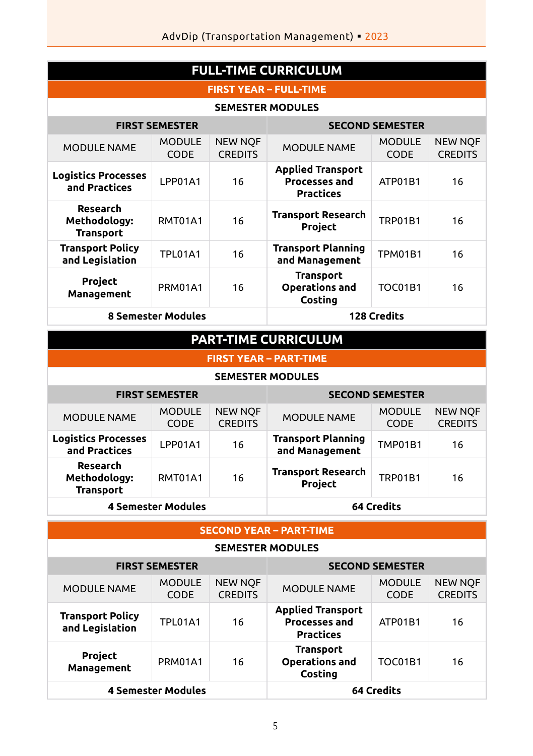| <b>FULL-TIME CURRICULUM</b>                  |                              |                                  |                                                                      |                              |                                  |  |
|----------------------------------------------|------------------------------|----------------------------------|----------------------------------------------------------------------|------------------------------|----------------------------------|--|
| <b>FIRST YEAR - FULL-TIME</b>                |                              |                                  |                                                                      |                              |                                  |  |
| <b>SEMESTER MODULES</b>                      |                              |                                  |                                                                      |                              |                                  |  |
| <b>FIRST SEMESTER</b>                        |                              |                                  | <b>SECOND SEMESTER</b>                                               |                              |                                  |  |
| <b>MODULE NAME</b>                           | <b>MODULE</b><br><b>CODE</b> | <b>NEW NOF</b><br><b>CREDITS</b> | <b>MODULE NAME</b>                                                   | <b>MODULE</b><br><b>CODE</b> | <b>NEW NOF</b><br><b>CREDITS</b> |  |
| <b>Logistics Processes</b><br>and Practices  | <b>I PP01A1</b>              | 16                               | <b>Applied Transport</b><br><b>Processes and</b><br><b>Practices</b> | ATP01B1                      | 16                               |  |
| Research<br>Methodology:<br><b>Transport</b> | <b>RMT01A1</b>               | 16                               | <b>Transport Research</b><br>Project                                 | <b>TRP01B1</b>               | 16                               |  |
| <b>Transport Policy</b><br>and Legislation   | <b>TPI 01A1</b>              | 16                               | <b>Transport Planning</b><br>and Management                          | <b>TPM01B1</b>               | 16                               |  |
| Project<br>Management                        | PRM01A1                      | 16                               | <b>Transport</b><br><b>Operations and</b><br>Costing                 | <b>TOC01B1</b>               | 16                               |  |
| <b>8 Semester Modules</b>                    |                              |                                  | <b>128 Credits</b>                                                   |                              |                                  |  |
| <b>PART-TIME CURRICULUM</b>                  |                              |                                  |                                                                      |                              |                                  |  |
| <b>FIRST YEAR - PART-TIME</b>                |                              |                                  |                                                                      |                              |                                  |  |
| <b>SEMESTER MODULES</b>                      |                              |                                  |                                                                      |                              |                                  |  |
| <b>FIRST SEMESTER</b>                        |                              |                                  | <b>SECOND SEMESTER</b>                                               |                              |                                  |  |

|                                              | FIRSI SEMESIER        |                                  |                                             | SELUNU SEMESI EK             |                                  |
|----------------------------------------------|-----------------------|----------------------------------|---------------------------------------------|------------------------------|----------------------------------|
| <b>MODULE NAME</b>                           | <b>MODULE</b><br>CODE | <b>NEW NOF</b><br><b>CREDITS</b> | <b>MODULE NAME</b>                          | <b>MODULE</b><br><b>CODE</b> | <b>NEW NOF</b><br><b>CREDITS</b> |
| <b>Logistics Processes</b><br>and Practices  | LPP01A1               | 16                               | <b>Transport Planning</b><br>and Management | <b>TMP01B1</b>               | 16                               |
| Research<br>Methodology:<br><b>Transport</b> | RMT01A1               | 16                               | <b>Transport Research</b><br>Project        | <b>TRP01B1</b>               | 16                               |
| <b>4 Semester Modules</b>                    |                       | <b>64 Credits</b>                |                                             |                              |                                  |

#### **SECOND YEAR – PART-TIME**

**SEMESTER MODULES**

| <b>FIRST SEMESTER</b>                      |                              | <b>SECOND SEMESTER</b>           |                                                                      |                              |                                  |
|--------------------------------------------|------------------------------|----------------------------------|----------------------------------------------------------------------|------------------------------|----------------------------------|
| <b>MODULE NAME</b>                         | <b>MODULE</b><br><b>CODE</b> | <b>NEW NOF</b><br><b>CREDITS</b> | <b>MODULE NAME</b>                                                   | <b>MODULE</b><br><b>CODE</b> | <b>NEW NOF</b><br><b>CREDITS</b> |
| <b>Transport Policy</b><br>and Legislation | TPL01A1                      | 16                               | <b>Applied Transport</b><br><b>Processes and</b><br><b>Practices</b> | ATP01B1                      | 16                               |
| Project<br>Management                      | PRM01A1                      | 16                               | Transport<br><b>Operations and</b><br>Costing                        | TOC01B1                      | 16                               |
| <b>4 Semester Modules</b>                  |                              |                                  | 64 Credits                                                           |                              |                                  |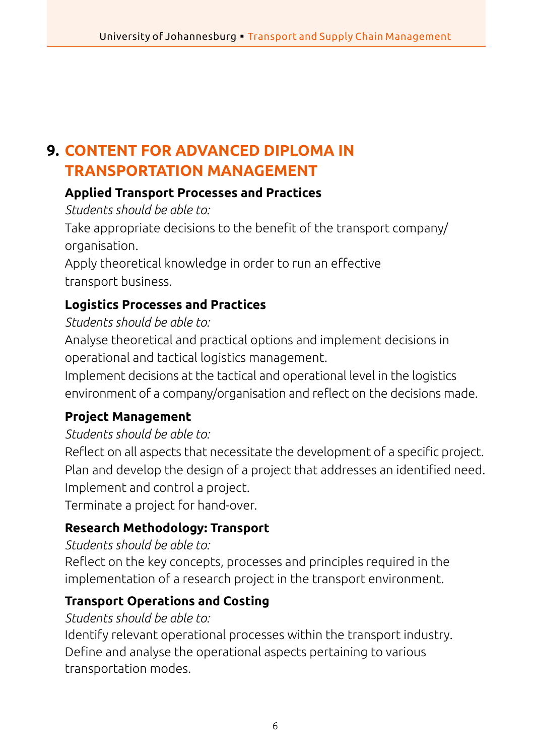## **9. CONTENT FOR ADVANCED DIPLOMA IN TRANSPORTATION MANAGEMENT**

#### **Applied Transport Processes and Practices**

*Students should be able to:*

Take appropriate decisions to the benefit of the transport company/ organisation.

Apply theoretical knowledge in order to run an effective transport business.

## **Logistics Processes and Practices**

#### *Students should be able to:*

Analyse theoretical and practical options and implement decisions in operational and tactical logistics management.

Implement decisions at the tactical and operational level in the logistics environment of a company/organisation and reflect on the decisions made.

#### **Project Management**

#### *Students should be able to:*

Reflect on all aspects that necessitate the development of a specific project. Plan and develop the design of a project that addresses an identified need. Implement and control a project.

Terminate a project for hand-over.

#### **Research Methodology: Transport**

#### *Students should be able to:*

Reflect on the key concepts, processes and principles required in the implementation of a research project in the transport environment.

#### **Transport Operations and Costing**

#### *Students should be able to:*

Identify relevant operational processes within the transport industry. Define and analyse the operational aspects pertaining to various transportation modes.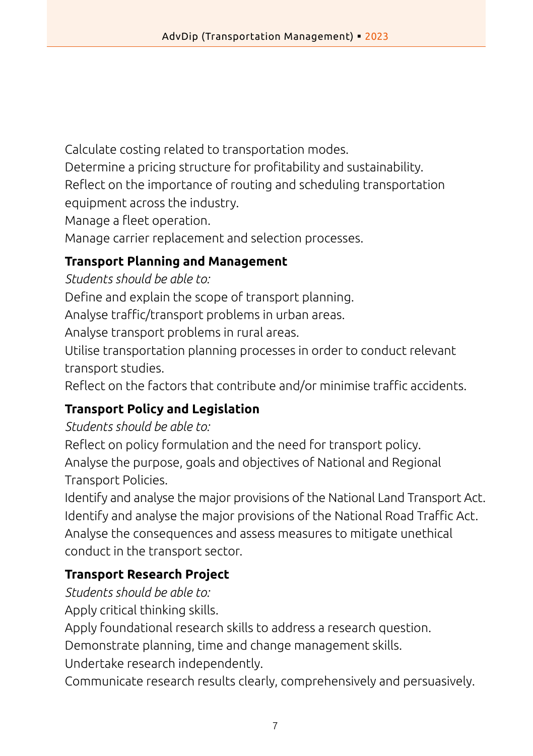Calculate costing related to transportation modes.

Determine a pricing structure for profitability and sustainability.

Reflect on the importance of routing and scheduling transportation

equipment across the industry.

Manage a fleet operation.

Manage carrier replacement and selection processes.

## **Transport Planning and Management**

*Students should be able to:*

Define and explain the scope of transport planning.

Analyse traffic/transport problems in urban areas.

Analyse transport problems in rural areas.

Utilise transportation planning processes in order to conduct relevant transport studies.

Reflect on the factors that contribute and/or minimise traffic accidents.

## **Transport Policy and Legislation**

*Students should be able to:*

Reflect on policy formulation and the need for transport policy. Analyse the purpose, goals and objectives of National and Regional Transport Policies.

Identify and analyse the major provisions of the National Land Transport Act. Identify and analyse the major provisions of the National Road Traffic Act. Analyse the consequences and assess measures to mitigate unethical conduct in the transport sector.

## **Transport Research Project**

*Students should be able to:*

Apply critical thinking skills.

Apply foundational research skills to address a research question.

Demonstrate planning, time and change management skills.

Undertake research independently.

Communicate research results clearly, comprehensively and persuasively.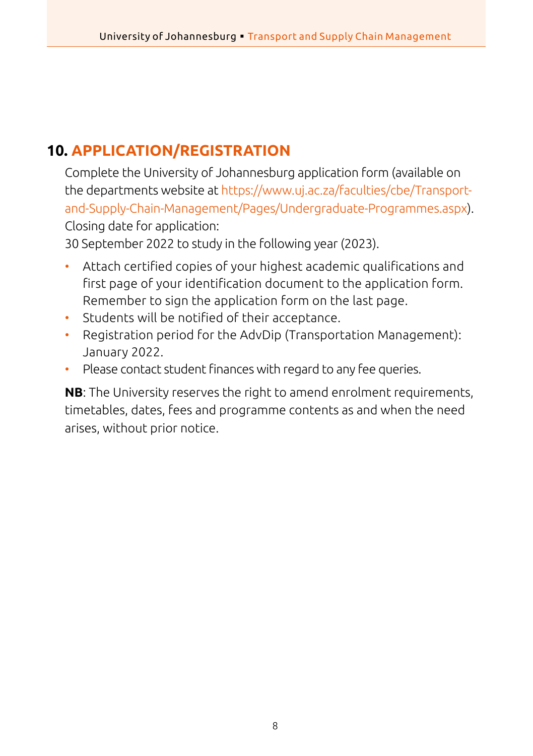## **10. APPLICATION/REGISTRATION**

Complete the University of Johannesburg application form (available on the departments website at [https://www.uj.ac.za/faculties/cbe/Transport](https://www.uj.ac.za/faculties/cbe/Transport-and-Supply-Chain-Management/Pages/Undergraduate-Programmes.aspx)[and-Supply-Chain-Management/Pages/Undergraduate-Programmes.aspx](https://www.uj.ac.za/faculties/cbe/Transport-and-Supply-Chain-Management/Pages/Undergraduate-Programmes.aspx)). Closing date for application:

30 September 2022 to study in the following year (2023).

- Attach certified copies of your highest academic qualifications and first page of your identification document to the application form. Remember to sign the application form on the last page.
- Students will be notified of their acceptance.
- Registration period for the AdvDip (Transportation Management): January 2022.
- Please contact student finances with regard to any fee queries.

**NB**: The University reserves the right to amend enrolment requirements, timetables, dates, fees and programme contents as and when the need arises, without prior notice.